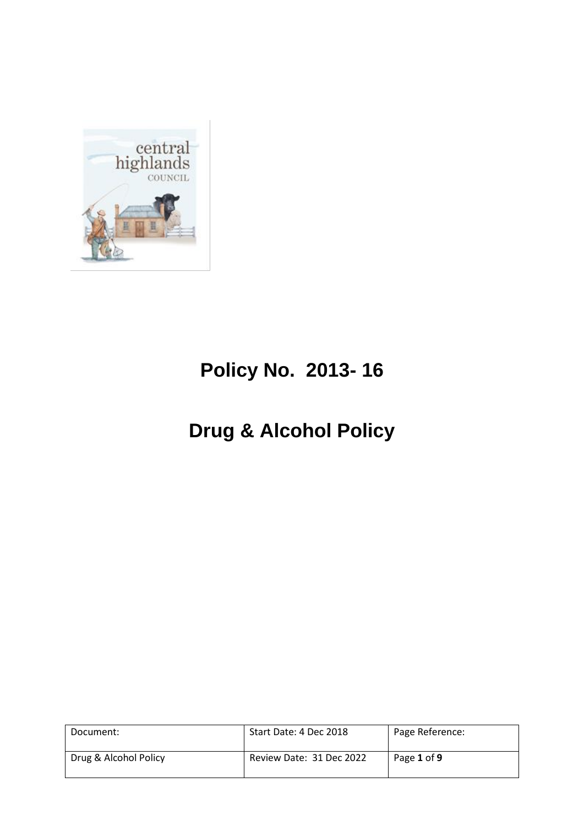

# **Policy No. 2013- 16**

# **Drug & Alcohol Policy**

| Document:             | Start Date: 4 Dec 2018   | Page Reference: |
|-----------------------|--------------------------|-----------------|
| Drug & Alcohol Policy | Review Date: 31 Dec 2022 | Page 1 of 9     |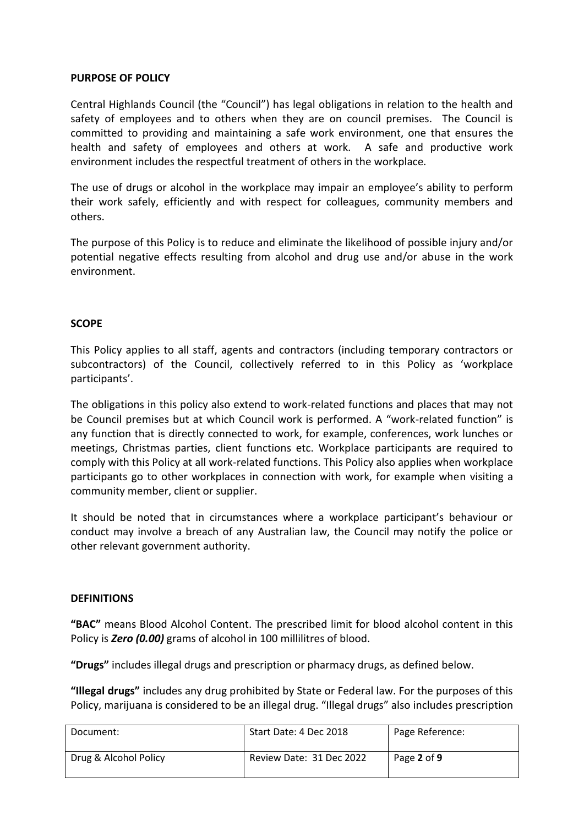### **PURPOSE OF POLICY**

Central Highlands Council (the "Council") has legal obligations in relation to the health and safety of employees and to others when they are on council premises. The Council is committed to providing and maintaining a safe work environment, one that ensures the health and safety of employees and others at work. A safe and productive work environment includes the respectful treatment of others in the workplace.

The use of drugs or alcohol in the workplace may impair an employee's ability to perform their work safely, efficiently and with respect for colleagues, community members and others.

The purpose of this Policy is to reduce and eliminate the likelihood of possible injury and/or potential negative effects resulting from alcohol and drug use and/or abuse in the work environment.

#### **SCOPE**

This Policy applies to all staff, agents and contractors (including temporary contractors or subcontractors) of the Council, collectively referred to in this Policy as 'workplace participants'.

The obligations in this policy also extend to work-related functions and places that may not be Council premises but at which Council work is performed. A "work-related function" is any function that is directly connected to work, for example, conferences, work lunches or meetings, Christmas parties, client functions etc. Workplace participants are required to comply with this Policy at all work-related functions. This Policy also applies when workplace participants go to other workplaces in connection with work, for example when visiting a community member, client or supplier.

It should be noted that in circumstances where a workplace participant's behaviour or conduct may involve a breach of any Australian law, the Council may notify the police or other relevant government authority.

#### **DEFINITIONS**

**"BAC"** means Blood Alcohol Content. The prescribed limit for blood alcohol content in this Policy is *Zero (0.00)* grams of alcohol in 100 millilitres of blood.

**"Drugs"** includes illegal drugs and prescription or pharmacy drugs, as defined below.

**"Illegal drugs"** includes any drug prohibited by State or Federal law. For the purposes of this Policy, marijuana is considered to be an illegal drug. "Illegal drugs" also includes prescription

| Document:             | Start Date: 4 Dec 2018   | Page Reference: |
|-----------------------|--------------------------|-----------------|
| Drug & Alcohol Policy | Review Date: 31 Dec 2022 | Page 2 of 9     |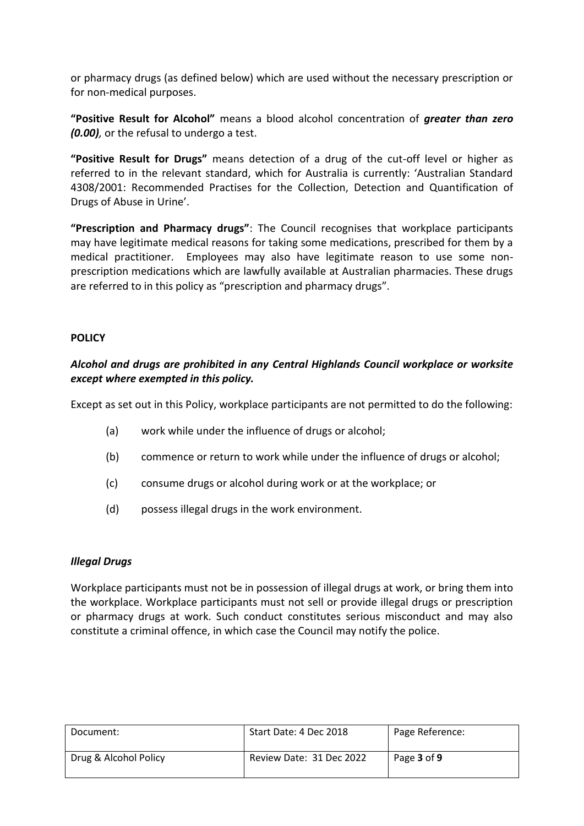or pharmacy drugs (as defined below) which are used without the necessary prescription or for non-medical purposes.

**"Positive Result for Alcohol"** means a blood alcohol concentration of *greater than zero (0.00),* or the refusal to undergo a test.

**"Positive Result for Drugs"** means detection of a drug of the cut-off level or higher as referred to in the relevant standard, which for Australia is currently: 'Australian Standard 4308/2001: Recommended Practises for the Collection, Detection and Quantification of Drugs of Abuse in Urine'.

**"Prescription and Pharmacy drugs"**: The Council recognises that workplace participants may have legitimate medical reasons for taking some medications, prescribed for them by a medical practitioner. Employees may also have legitimate reason to use some nonprescription medications which are lawfully available at Australian pharmacies. These drugs are referred to in this policy as "prescription and pharmacy drugs".

# **POLICY**

# *Alcohol and drugs are prohibited in any Central Highlands Council workplace or worksite except where exempted in this policy.*

Except as set out in this Policy, workplace participants are not permitted to do the following:

- (a) work while under the influence of drugs or alcohol;
- (b) commence or return to work while under the influence of drugs or alcohol;
- (c) consume drugs or alcohol during work or at the workplace; or
- (d) possess illegal drugs in the work environment.

### *Illegal Drugs*

Workplace participants must not be in possession of illegal drugs at work, or bring them into the workplace. Workplace participants must not sell or provide illegal drugs or prescription or pharmacy drugs at work. Such conduct constitutes serious misconduct and may also constitute a criminal offence, in which case the Council may notify the police.

| Document:             | Start Date: 4 Dec 2018   | Page Reference: |
|-----------------------|--------------------------|-----------------|
| Drug & Alcohol Policy | Review Date: 31 Dec 2022 | Page 3 of 9     |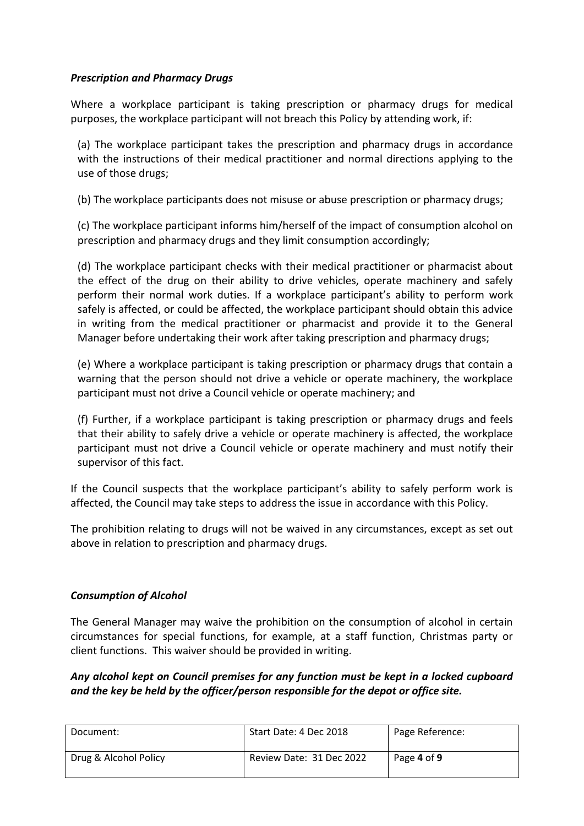# *Prescription and Pharmacy Drugs*

Where a workplace participant is taking prescription or pharmacy drugs for medical purposes, the workplace participant will not breach this Policy by attending work, if:

(a) The workplace participant takes the prescription and pharmacy drugs in accordance with the instructions of their medical practitioner and normal directions applying to the use of those drugs;

(b) The workplace participants does not misuse or abuse prescription or pharmacy drugs;

(c) The workplace participant informs him/herself of the impact of consumption alcohol on prescription and pharmacy drugs and they limit consumption accordingly;

(d) The workplace participant checks with their medical practitioner or pharmacist about the effect of the drug on their ability to drive vehicles, operate machinery and safely perform their normal work duties. If a workplace participant's ability to perform work safely is affected, or could be affected, the workplace participant should obtain this advice in writing from the medical practitioner or pharmacist and provide it to the General Manager before undertaking their work after taking prescription and pharmacy drugs;

(e) Where a workplace participant is taking prescription or pharmacy drugs that contain a warning that the person should not drive a vehicle or operate machinery, the workplace participant must not drive a Council vehicle or operate machinery; and

(f) Further, if a workplace participant is taking prescription or pharmacy drugs and feels that their ability to safely drive a vehicle or operate machinery is affected, the workplace participant must not drive a Council vehicle or operate machinery and must notify their supervisor of this fact.

If the Council suspects that the workplace participant's ability to safely perform work is affected, the Council may take steps to address the issue in accordance with this Policy.

The prohibition relating to drugs will not be waived in any circumstances, except as set out above in relation to prescription and pharmacy drugs.

### *Consumption of Alcohol*

The General Manager may waive the prohibition on the consumption of alcohol in certain circumstances for special functions, for example, at a staff function, Christmas party or client functions. This waiver should be provided in writing.

# *Any alcohol kept on Council premises for any function must be kept in a locked cupboard and the key be held by the officer/person responsible for the depot or office site.*

| Document:             | Start Date: 4 Dec 2018   | Page Reference: |
|-----------------------|--------------------------|-----------------|
| Drug & Alcohol Policy | Review Date: 31 Dec 2022 | Page 4 of 9     |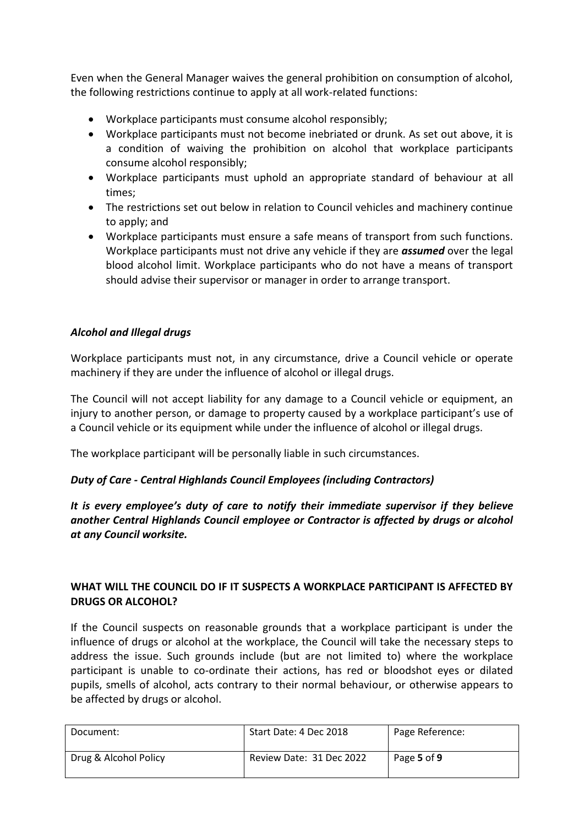Even when the General Manager waives the general prohibition on consumption of alcohol, the following restrictions continue to apply at all work-related functions:

- Workplace participants must consume alcohol responsibly;
- Workplace participants must not become inebriated or drunk. As set out above, it is a condition of waiving the prohibition on alcohol that workplace participants consume alcohol responsibly;
- Workplace participants must uphold an appropriate standard of behaviour at all times;
- The restrictions set out below in relation to Council vehicles and machinery continue to apply; and
- Workplace participants must ensure a safe means of transport from such functions. Workplace participants must not drive any vehicle if they are *assumed* over the legal blood alcohol limit. Workplace participants who do not have a means of transport should advise their supervisor or manager in order to arrange transport.

# *Alcohol and Illegal drugs*

Workplace participants must not, in any circumstance, drive a Council vehicle or operate machinery if they are under the influence of alcohol or illegal drugs.

The Council will not accept liability for any damage to a Council vehicle or equipment, an injury to another person, or damage to property caused by a workplace participant's use of a Council vehicle or its equipment while under the influence of alcohol or illegal drugs.

The workplace participant will be personally liable in such circumstances.

# *Duty of Care - Central Highlands Council Employees (including Contractors)*

*It is every employee's duty of care to notify their immediate supervisor if they believe another Central Highlands Council employee or Contractor is affected by drugs or alcohol at any Council worksite.*

# **WHAT WILL THE COUNCIL DO IF IT SUSPECTS A WORKPLACE PARTICIPANT IS AFFECTED BY DRUGS OR ALCOHOL?**

If the Council suspects on reasonable grounds that a workplace participant is under the influence of drugs or alcohol at the workplace, the Council will take the necessary steps to address the issue. Such grounds include (but are not limited to) where the workplace participant is unable to co-ordinate their actions, has red or bloodshot eyes or dilated pupils, smells of alcohol, acts contrary to their normal behaviour, or otherwise appears to be affected by drugs or alcohol.

| Document:             | Start Date: 4 Dec 2018   | Page Reference: |
|-----------------------|--------------------------|-----------------|
| Drug & Alcohol Policy | Review Date: 31 Dec 2022 | Page 5 of 9     |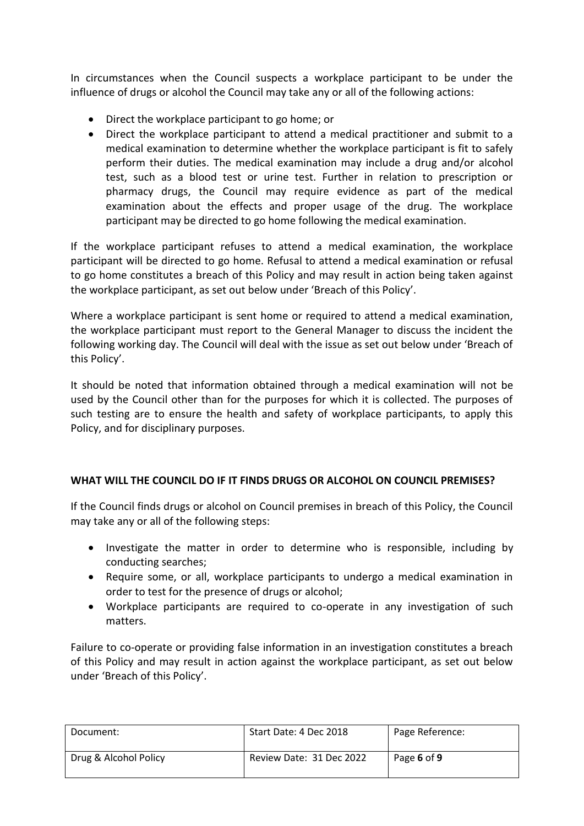In circumstances when the Council suspects a workplace participant to be under the influence of drugs or alcohol the Council may take any or all of the following actions:

- Direct the workplace participant to go home; or
- Direct the workplace participant to attend a medical practitioner and submit to a medical examination to determine whether the workplace participant is fit to safely perform their duties. The medical examination may include a drug and/or alcohol test, such as a blood test or urine test. Further in relation to prescription or pharmacy drugs, the Council may require evidence as part of the medical examination about the effects and proper usage of the drug. The workplace participant may be directed to go home following the medical examination.

If the workplace participant refuses to attend a medical examination, the workplace participant will be directed to go home. Refusal to attend a medical examination or refusal to go home constitutes a breach of this Policy and may result in action being taken against the workplace participant, as set out below under 'Breach of this Policy'.

Where a workplace participant is sent home or required to attend a medical examination, the workplace participant must report to the General Manager to discuss the incident the following working day. The Council will deal with the issue as set out below under 'Breach of this Policy'.

It should be noted that information obtained through a medical examination will not be used by the Council other than for the purposes for which it is collected. The purposes of such testing are to ensure the health and safety of workplace participants, to apply this Policy, and for disciplinary purposes.

# **WHAT WILL THE COUNCIL DO IF IT FINDS DRUGS OR ALCOHOL ON COUNCIL PREMISES?**

If the Council finds drugs or alcohol on Council premises in breach of this Policy, the Council may take any or all of the following steps:

- Investigate the matter in order to determine who is responsible, including by conducting searches;
- Require some, or all, workplace participants to undergo a medical examination in order to test for the presence of drugs or alcohol;
- Workplace participants are required to co-operate in any investigation of such matters.

Failure to co-operate or providing false information in an investigation constitutes a breach of this Policy and may result in action against the workplace participant, as set out below under 'Breach of this Policy'.

| Document:             | Start Date: 4 Dec 2018   | Page Reference: |
|-----------------------|--------------------------|-----------------|
| Drug & Alcohol Policy | Review Date: 31 Dec 2022 | Page 6 of 9     |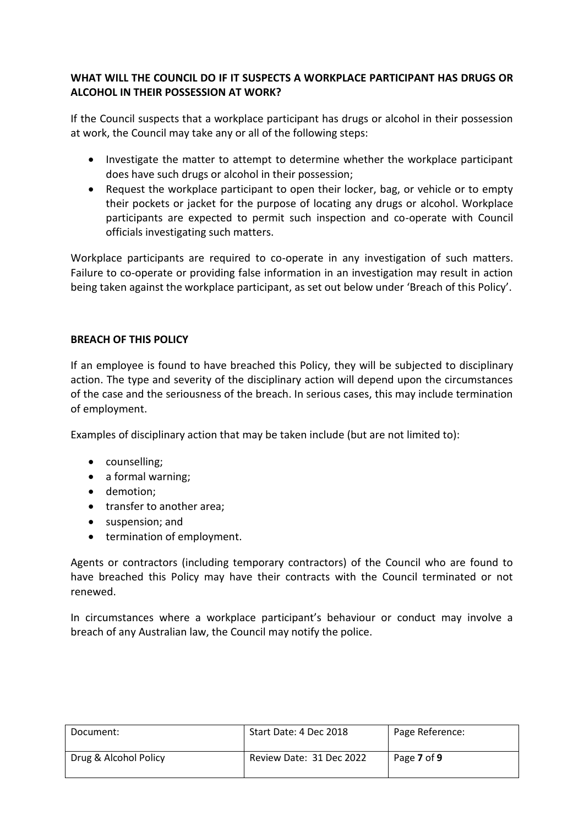# **WHAT WILL THE COUNCIL DO IF IT SUSPECTS A WORKPLACE PARTICIPANT HAS DRUGS OR ALCOHOL IN THEIR POSSESSION AT WORK?**

If the Council suspects that a workplace participant has drugs or alcohol in their possession at work, the Council may take any or all of the following steps:

- Investigate the matter to attempt to determine whether the workplace participant does have such drugs or alcohol in their possession;
- Request the workplace participant to open their locker, bag, or vehicle or to empty their pockets or jacket for the purpose of locating any drugs or alcohol. Workplace participants are expected to permit such inspection and co-operate with Council officials investigating such matters.

Workplace participants are required to co-operate in any investigation of such matters. Failure to co-operate or providing false information in an investigation may result in action being taken against the workplace participant, as set out below under 'Breach of this Policy'.

# **BREACH OF THIS POLICY**

If an employee is found to have breached this Policy, they will be subjected to disciplinary action. The type and severity of the disciplinary action will depend upon the circumstances of the case and the seriousness of the breach. In serious cases, this may include termination of employment.

Examples of disciplinary action that may be taken include (but are not limited to):

- counselling;
- a formal warning;
- demotion;
- transfer to another area;
- suspension: and
- termination of employment.

Agents or contractors (including temporary contractors) of the Council who are found to have breached this Policy may have their contracts with the Council terminated or not renewed.

In circumstances where a workplace participant's behaviour or conduct may involve a breach of any Australian law, the Council may notify the police.

| Document:             | Start Date: 4 Dec 2018   | Page Reference: |
|-----------------------|--------------------------|-----------------|
| Drug & Alcohol Policy | Review Date: 31 Dec 2022 | Page 7 of 9     |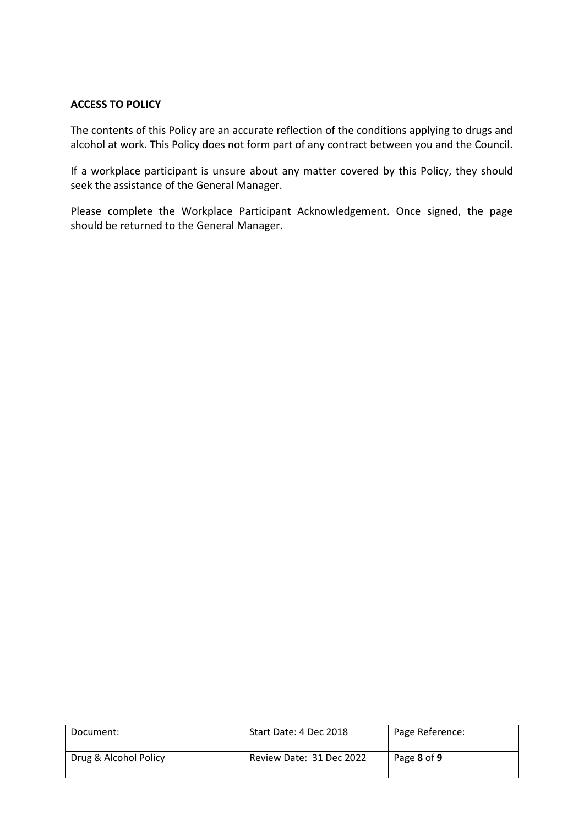## **ACCESS TO POLICY**

The contents of this Policy are an accurate reflection of the conditions applying to drugs and alcohol at work. This Policy does not form part of any contract between you and the Council.

If a workplace participant is unsure about any matter covered by this Policy, they should seek the assistance of the General Manager.

Please complete the Workplace Participant Acknowledgement. Once signed, the page should be returned to the General Manager.

| Document:             | Start Date: 4 Dec 2018   | Page Reference: |
|-----------------------|--------------------------|-----------------|
| Drug & Alcohol Policy | Review Date: 31 Dec 2022 | Page 8 of 9     |